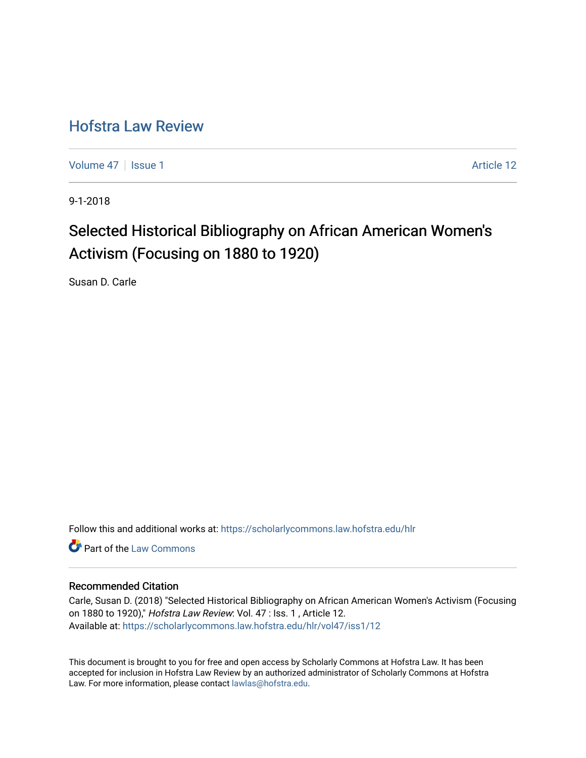## [Hofstra Law Review](https://scholarlycommons.law.hofstra.edu/hlr)

[Volume 47](https://scholarlycommons.law.hofstra.edu/hlr/vol47) | [Issue 1](https://scholarlycommons.law.hofstra.edu/hlr/vol47/iss1) Article 12

9-1-2018

# Selected Historical Bibliography on African American Women's Activism (Focusing on 1880 to 1920)

Susan D. Carle

Follow this and additional works at: [https://scholarlycommons.law.hofstra.edu/hlr](https://scholarlycommons.law.hofstra.edu/hlr?utm_source=scholarlycommons.law.hofstra.edu%2Fhlr%2Fvol47%2Fiss1%2F12&utm_medium=PDF&utm_campaign=PDFCoverPages)

**C** Part of the [Law Commons](http://network.bepress.com/hgg/discipline/578?utm_source=scholarlycommons.law.hofstra.edu%2Fhlr%2Fvol47%2Fiss1%2F12&utm_medium=PDF&utm_campaign=PDFCoverPages)

#### Recommended Citation

Carle, Susan D. (2018) "Selected Historical Bibliography on African American Women's Activism (Focusing on 1880 to 1920)," Hofstra Law Review: Vol. 47 : Iss. 1 , Article 12. Available at: [https://scholarlycommons.law.hofstra.edu/hlr/vol47/iss1/12](https://scholarlycommons.law.hofstra.edu/hlr/vol47/iss1/12?utm_source=scholarlycommons.law.hofstra.edu%2Fhlr%2Fvol47%2Fiss1%2F12&utm_medium=PDF&utm_campaign=PDFCoverPages) 

This document is brought to you for free and open access by Scholarly Commons at Hofstra Law. It has been accepted for inclusion in Hofstra Law Review by an authorized administrator of Scholarly Commons at Hofstra Law. For more information, please contact [lawlas@hofstra.edu.](mailto:lawlas@hofstra.edu)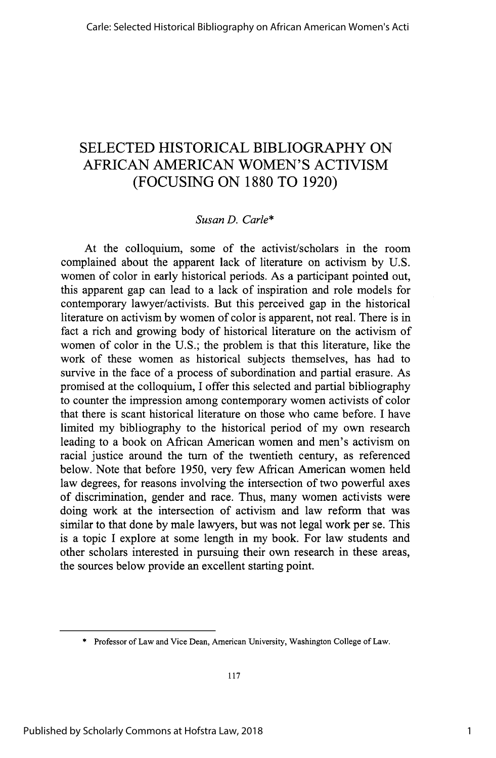### SELECTED HISTORICAL BIBLIOGRAPHY ON AFRICAN AMERICAN WOMEN'S ACTIVISM (FOCUSING ON 1880 TO 1920)

#### *Susan D. Carle\**

At the colloquium, some of the activist/scholars in the room complained about the apparent lack of literature on activism by U.S. women of color in early historical periods. As a participant pointed out, this apparent gap can lead to a lack of inspiration and role models for contemporary lawyer/activists. But this perceived gap in the historical literature on activism by women of color is apparent, not real. There is in fact a rich and growing body of historical literature on the activism of women of color in the U.S.; the problem is that this literature, like the work of these women as historical subjects themselves, has had to survive in the face of a process of subordination and partial erasure. As promised at the colloquium, I offer this selected and partial bibliography to counter the impression among contemporary women activists of color that there is scant historical literature on those who came before. I have limited my bibliography to the historical period of my own research leading to a book on African American women and men's activism on racial justice around the turn of the twentieth century, as referenced below. Note that before 1950, very few African American women held law degrees, for reasons involving the intersection of two powerful axes of discrimination, gender and race. Thus, many women activists were doing work at the intersection of activism and law reform that was similar to that done by male lawyers, but was not legal work per se. This is a topic I explore at some length in my book. For law students and other scholars interested in pursuing their own research in these areas, the sources below provide an excellent starting point.

**<sup>\*</sup>** Professor of Law and Vice Dean, American University, Washington College of Law.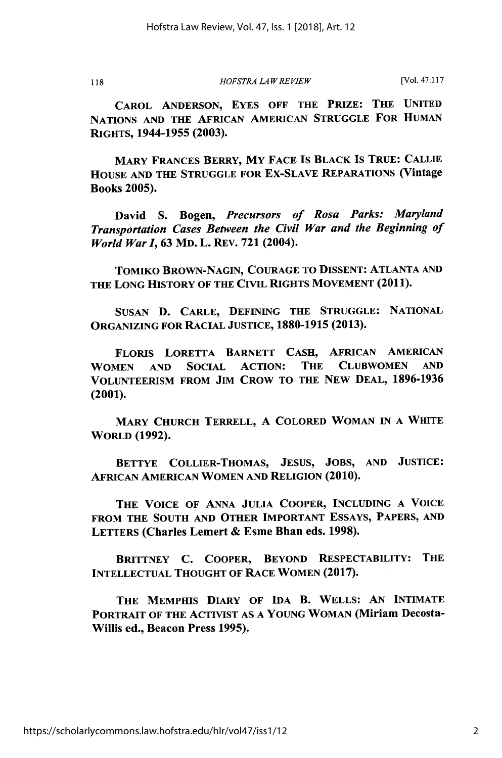118

*HOFSTRA LAW REVIEW*

[Vol. **47:117**

CAROL **ANDERSON,** EYES OFF THE PRIZE: THE **UNITED NATIONS AND** THE AFRICAN **AMERICAN STRUGGLE** FOR HUMAN RIGHTS, 1944-1955 **(2003).**

MARY FRANCES BERRY, MY **FACE** IS BLACK IS TRUE: **CALLIE HOUSE AND** THE **STRUGGLE** FOR Ex-SLAVE REPARATIONS (Vintage Books **2005).**

David **S.** Bogen, *Precursors of Rosa Parks: Maryland Transportation Cases Between the Civil War and the Beginning of World War I,* **63** MD. L. REV. **721** (2004).

TOMIKO BROWN-NAGIN, **COURAGE** TO DISSENT: **ATLANTA AND THE LONG** HISTORY OF THE CIVIL RIGHTS **MOVEMENT** (2011).

SUSAN **D.** CARLE, **DEFINING** THE **STRUGGLE: NATIONAL ORGANIZING** FOR RACIAL **JUSTICE, 1880-1915 (2013).**

FLORIS LORETTA BARNETT **CASH,** AFRICAN **AMERICAN** WOMEN **AND** SOCIAL ACTION: THE **CLUBWOMEN AND VOLUNTEERISM** FROM **JIM** CROW TO THE NEW **DEAL, 1896-1936** (2001).

MARY CHURCH TERRELL, A COLORED WOMAN IN A WHITE WORLD **(1992).**

BETTYE COLLIER-THOMAS, JESUS, **JOBS, AND** JUSTICE: AFRICAN AMERICAN WOMEN **AND** RELIGION (2010).

**THE VOICE** OF ANNA **JULIA** COOPER, INCLUDING A **VOICE** FROM **THE SOUTH AND** OTHER IMPORTANT ESSAYS, PAPERS, **AND** LETTERS (Charles Lemert **&** Esme Bhan eds. **1998).**

BRITTNEY **C.** COOPER, BEYOND RESPECTABILITY: THE INTELLECTUAL **THOUGHT** OF RACE WOMEN (2017).

**THE** MEMPHIS DIARY OF **IDA** B. WELLS: **AN INTIMATE** PORTRAIT OF THE ACTIVIST AS A **YOUNG** WOMAN (Miriam Decosta-Willis ed., Beacon Press **1995).**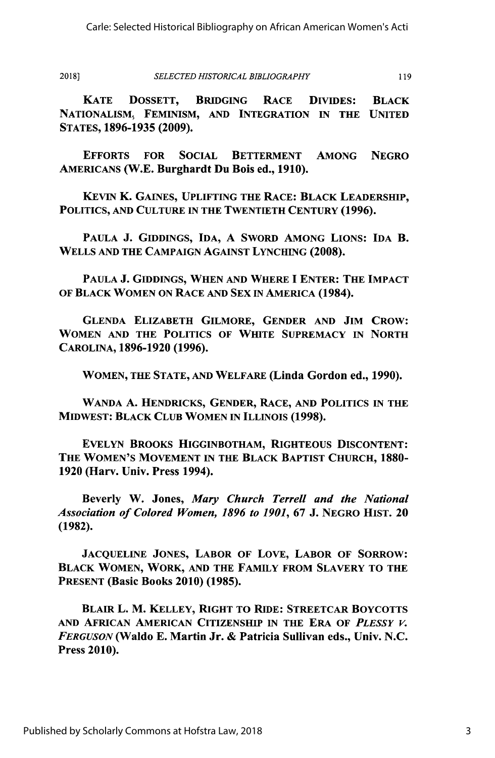119

*SELECTED HISTORICAL BIBLIOGRAPHY* **2018)**

KATE DOSSETT, BRIDGING RACE **DIVIDES:** BLACK **NATIONALISM,** FEMINISM, **AND INTEGRATION IN THE UNITED STATES, 1896-1935 (2009).**

EFFORTS FOR SOCIAL BETTERMENT AMONG **NEGRO AMERICANS** (W.E. Burghardt Du Bois ed., **1910).**

KEVIN K. **GAINES,** UPLIFTING THE RACE: BLACK LEADERSHIP, **POLITICS, AND CULTURE** IN THE TWENTIETH **CENTURY (1996).**

**PAULA J. GIDDINGS, IDA, A** SWORD AMONG **LIONS: IDA** B. WELLS **AND** THE **CAMPAIGN AGAINST LYNCHING (2008).**

**PAULA J. GIDDINGS, WHEN AND** WHERE **I** ENTER: THE IMPACT OF BLACK WOMEN **ON** RACE **AND SEX IN** AMERICA (1984).

**GLENDA** ELIZABETH GILMORE, **GENDER AND JIM** CROW: WOMEN **AND THE POLITICS** OF WHITE SUPREMACY IN NORTH **CAROLINA, 1896-1920 (1996).**

WOMEN, **THE STATE, AND** WELFARE (Linda Gordon ed., **1990).**

**WANDA A.** HENDRICKS, **GENDER,** RACE, **AND POLITICS** IN **THE** MIDWEST: BLACK **CLUB** WOMEN **IN ILLINOIS (1998).**

**EVELYN** BROOKS **HIGGINBOTHAM,** RIGHTEOUS DISCONTENT: THE **WOMEN'S MOVEMENT** IN **THE** BLACK BAPTIST **CHURCH, 1880- 1920** (Harv. Univ. Press 1994).

Beverly W. Jones, *Mary Church Terrell and the National Association of Colored Women, 1896 to 1901,* **67 J.** NEGRO **HIST.** <sup>20</sup> (1982).

JACQUELINE JONES, LABOR OF LOVE, LABOR OF SORROW: BLACK WOMEN, WORK, **AND** THE FAMILY FROM SLAVERY TO THE **PRESENT** (Basic Books 2010) (1985).

BLAIR L. M. KELLEY, RIGHT TO RIDE: STREETCAR BOYCOTTS AND AFRICAN AMERICAN CITIZENSHIP IN THE ERA OF *PLESSY V. FERGUSON* (Waldo **E.** Martin Jr. & Patricia Sullivan eds., Univ. N.C. Press 2010).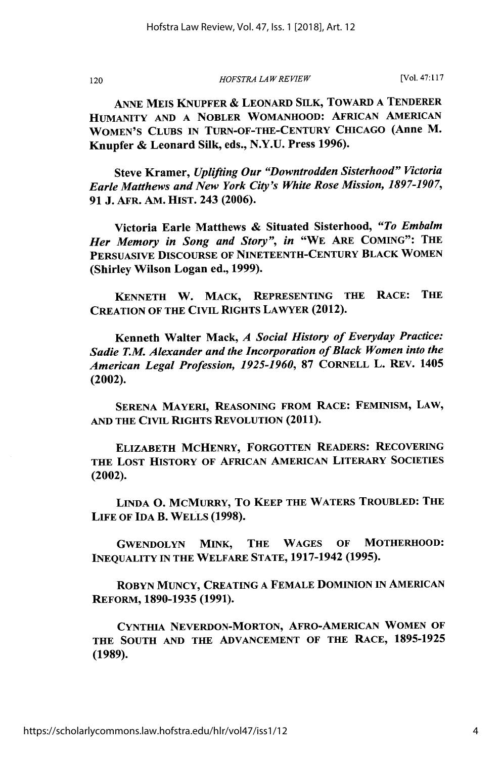120

*HOFSTRA LA W REVIEW*

[Vol. **47:117**

**ANNE** MEIS KNUPFER **&** LEONARD SILK, TOWARD **A** TENDERER **HUMANITY AND A** NOBLER WOMANHOOD: AFRICAN AMERICAN **WOMEN'S CLUBS IN TURN-OF-THE-CENTURY CHICAGO** (Anne M. Knupfer **&** Leonard **Silk,** eds., **N.Y.U.** Press **1996).**

Steve Kramer, *Uplifting Our "Downtrodden Sisterhood" Victoria Earle Matthews and New York City's White Rose Mission, 1897-1907,* **91 J. AFR.** AM. HIST. 243 **(2006).**

Victoria Earle Matthews **&** Situated Sisterhood, *"To Embalm Her Memory in Song and Story", in* "WE ARE **COMING":** THE PERSUASIVE DISCOURSE OF **NINETEENTH-CENTURY** BLACK WOMEN (Shirley Wilson Logan ed., **1999).**

**KENNETH** W. MACK, **REPRESENTING THE** RACE: THE **CREATION** OF **THE** CIVIL RIGHTS LAWYER (2012).

Kenneth Walter Mack, *A Social History of Everyday Practice: Sadie T.M. Alexander and the Incorporation of Black Women into the American Legal Profession, 1925-1960,* **87** CORNELL L. REV. 1405 (2002).

**SERENA** MAYERI, **REASONING** FROM RACE: FEMINISM, LAW, **AND** THE CIVIL RIGHTS REVOLUTION (2011).

ELIZABETH MCHENRY, FORGOTTEN READERS: RECOVERING THE **LOST** HISTORY OF AFRICAN AMERICAN LITERARY SOCIETIES (2002).

**LINDA 0.** MCMURRY, To KEEP THE WATERS TROUBLED: THE **LIFE** OF **IDA** B. WELLS **(1998).**

GWENDOLYN MINK, THE **WAGES** OF MOTHERHOOD: **INEQUALITY** IN **THE** WELFARE **STATE, 1917-1942 (1995).**

ROBYN **MUNCY, CREATING A FEMALE DOMINION** IN **AMERICAN** REFORM, **1890-1935 (1991).**

**CYNTHIA** NEVERDON-MORTON, AFRO-AMERICAN WOMEN OF **THE SOUTH AND THE** ADVANCEMENT OF THE RACE, **1895-1925** (1989).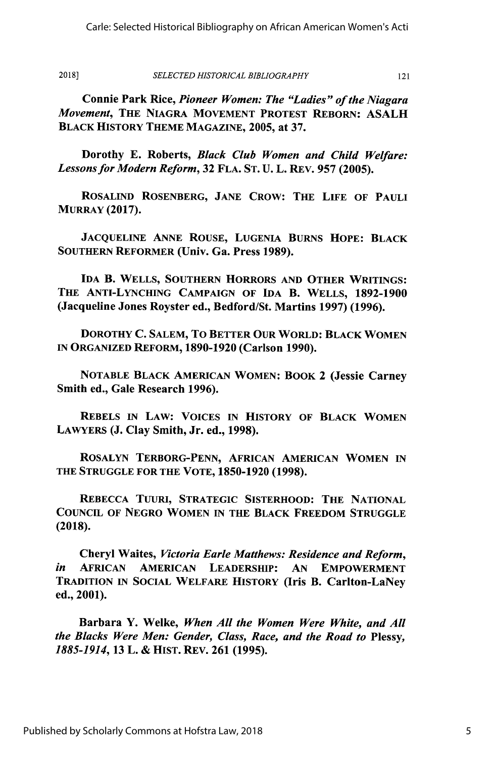*SELECTED HISTORICAL BIBLIOGRAPHY* **2018]**

121

Connie Park Rice, *Pioneer Women: The "Ladies" of the Niagara Movement,* THE **NLAGRA MOVEMENT** PROTEST REBORN: **ASALH** BLACK HISTORY THEME **MAGAZINE, 2005,** at **37.**

Dorothy **E.** Roberts, *Black Club Women and Child Welfare: Lessons for Modern Reform,* **32 FLA. ST. U.** L. REv. **957 (2005).**

ROSALIND ROSENBERG, **JANE** CROW: THE LIFE OF **PAULI** MURRAY **(2017).**

**JACQUELINE ANNE** ROUSE, **LUGENIA** BURNS HOPE: BLACK **SOUTHERN** REFORMER (Univ. Ga. Press **1989).**

**IDA** B. WELLS, **SOUTHERN** HORRORS **AND** OTHER WRITINGS: THE ANTI-LYNCHING **CAMPAIGN** OF **IDA** B. WELLS, **1892-1900** (Jacqueline Jones Royster ed., Bedford/St. Martins **1997) (1996).**

DOROTHY **C.** SALEM, To BETTER OUR WORLD: BLACK WOMEN IN ORGANIZED REFORM, **1890-1920** (Carlson **1990).**

**NOTABLE** BLACK **AMERICAN** WOMEN: BOOK 2 (Jessie Carney Smith ed., Gale Research **1996).**

REBELS IN LAW: **VOICES** IN HISTORY OF BLACK WOMEN LAWYERS **(J.** Clay Smith, Jr. ed., **1998).**

ROSALYN TERBORG-PENN, AFRICAN AMERICAN WOMEN IN **THE STRUGGLE** FOR **THE** VOTE, **1850-1920 (1998).**

REBECCA TUuRi, **STRATEGIC** SISTERHOOD: THE **NATIONAL COUNCIL** OF **NEGRO** WOMEN IN THE BLACK FREEDOM **STRUGGLE (2018).**

Cheryl Waites, *Victoria Earle Matthews: Residence and Reform, in* AFRICAN AMERICAN LEADERSHIP: **AN** EMPOWERMENT TRADITION IN **SOCIAL** WELFARE HISTORY (Iris B. Carlton-LaNey ed., 2001).

Barbara **Y.** Welke, *When All the Women Were White, and All the Blacks Were Men: Gender, Class, Race, and the Road to* Plessy, **1885-1914, 13** *L.* **&** HIST. REV. **261 (1995).**